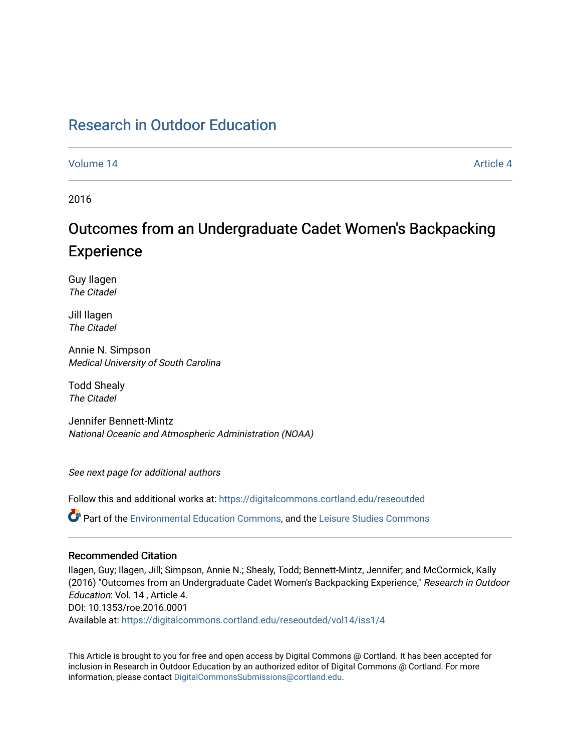# [Research in Outdoor Education](https://digitalcommons.cortland.edu/reseoutded)

[Volume 14](https://digitalcommons.cortland.edu/reseoutded/vol14) Article 4

2016

# Outcomes from an Undergraduate Cadet Women's Backpacking **Experience**

Guy Ilagen The Citadel

Jill Ilagen The Citadel

Annie N. Simpson Medical University of South Carolina

Todd Shealy The Citadel

Jennifer Bennett-Mintz National Oceanic and Atmospheric Administration (NOAA)

See next page for additional authors

Follow this and additional works at: [https://digitalcommons.cortland.edu/reseoutded](https://digitalcommons.cortland.edu/reseoutded?utm_source=digitalcommons.cortland.edu%2Freseoutded%2Fvol14%2Fiss1%2F4&utm_medium=PDF&utm_campaign=PDFCoverPages)

Part of the [Environmental Education Commons](http://network.bepress.com/hgg/discipline/1305?utm_source=digitalcommons.cortland.edu%2Freseoutded%2Fvol14%2Fiss1%2F4&utm_medium=PDF&utm_campaign=PDFCoverPages), and the [Leisure Studies Commons](http://network.bepress.com/hgg/discipline/1197?utm_source=digitalcommons.cortland.edu%2Freseoutded%2Fvol14%2Fiss1%2F4&utm_medium=PDF&utm_campaign=PDFCoverPages) 

#### Recommended Citation

Ilagen, Guy; Ilagen, Jill; Simpson, Annie N.; Shealy, Todd; Bennett-Mintz, Jennifer; and McCormick, Kally (2016) "Outcomes from an Undergraduate Cadet Women's Backpacking Experience," Research in Outdoor Education: Vol. 14 , Article 4. DOI: 10.1353/roe.2016.0001 Available at: [https://digitalcommons.cortland.edu/reseoutded/vol14/iss1/4](https://digitalcommons.cortland.edu/reseoutded/vol14/iss1/4?utm_source=digitalcommons.cortland.edu%2Freseoutded%2Fvol14%2Fiss1%2F4&utm_medium=PDF&utm_campaign=PDFCoverPages) 

This Article is brought to you for free and open access by Digital Commons @ Cortland. It has been accepted for inclusion in Research in Outdoor Education by an authorized editor of Digital Commons @ Cortland. For more information, please contact [DigitalCommonsSubmissions@cortland.edu](mailto:DigitalCommonsSubmissions@cortland.edu).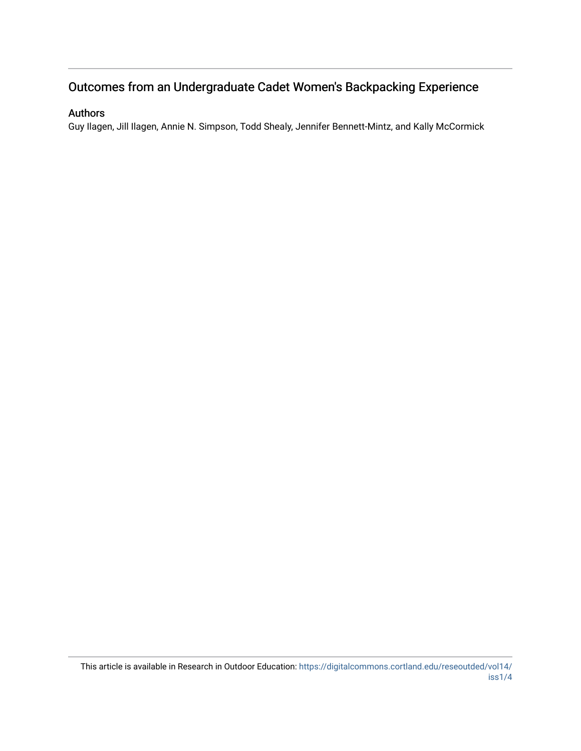# Outcomes from an Undergraduate Cadet Women's Backpacking Experience

# Authors

Guy Ilagen, Jill Ilagen, Annie N. Simpson, Todd Shealy, Jennifer Bennett-Mintz, and Kally McCormick

This article is available in Research in Outdoor Education: [https://digitalcommons.cortland.edu/reseoutded/vol14/](https://digitalcommons.cortland.edu/reseoutded/vol14/iss1/4) [iss1/4](https://digitalcommons.cortland.edu/reseoutded/vol14/iss1/4)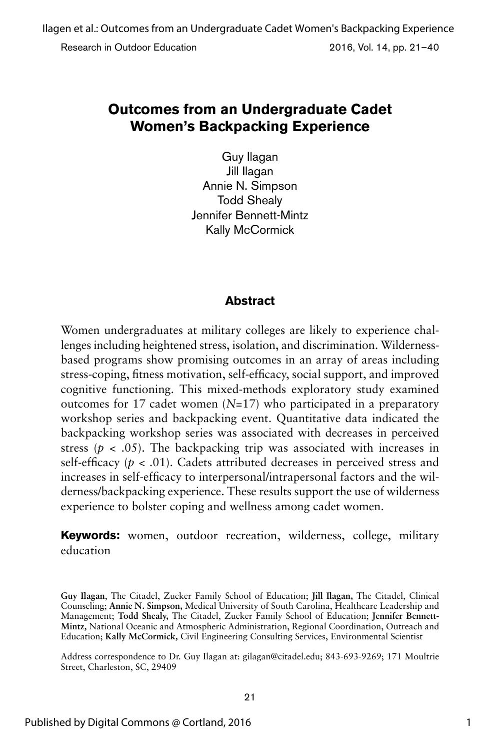# **Outcomes from an Undergraduate Cadet Women's Backpacking Experience**

Guy Ilagan Jill Ilagan Annie N. Simpson Todd Shealy Jennifer Bennett-Mintz Kally McCormick

# **Abstract**

Women undergraduates at military colleges are likely to experience challenges including heightened stress, isolation, and discrimination. Wildernessbased programs show promising outcomes in an array of areas including stress-coping, fitness motivation, self-efficacy, social support, and improved cognitive functioning. This mixed-methods exploratory study examined outcomes for 17 cadet women (*N*=17) who participated in a preparatory workshop series and backpacking event. Quantitative data indicated the backpacking workshop series was associated with decreases in perceived stress ( $p < .05$ ). The backpacking trip was associated with increases in self-efficacy (*p* < .01). Cadets attributed decreases in perceived stress and increases in self-efficacy to interpersonal/intrapersonal factors and the wilderness/backpacking experience. These results support the use of wilderness experience to bolster coping and wellness among cadet women.

**Keywords:** women, outdoor recreation, wilderness, college, military education

**Guy Ilagan**, The Citadel, Zucker Family School of Education; **Jill Ilagan,** The Citadel, Clinical Counseling; **Annie N. Simpson,** Medical University of South Carolina, Healthcare Leadership and Management; **Todd Shealy,** The Citadel, Zucker Family School of Education; **Jennifer Bennett-Mintz,** National Oceanic and Atmospheric Administration, Regional Coordination, Outreach and Education; **Kally McCormick,** Civil Engineering Consulting Services, Environmental Scientist

Address correspondence to Dr. Guy Ilagan at: gilagan@citadel.edu; 843-693-9269; 171 Moultrie Street, Charleston, SC, 29409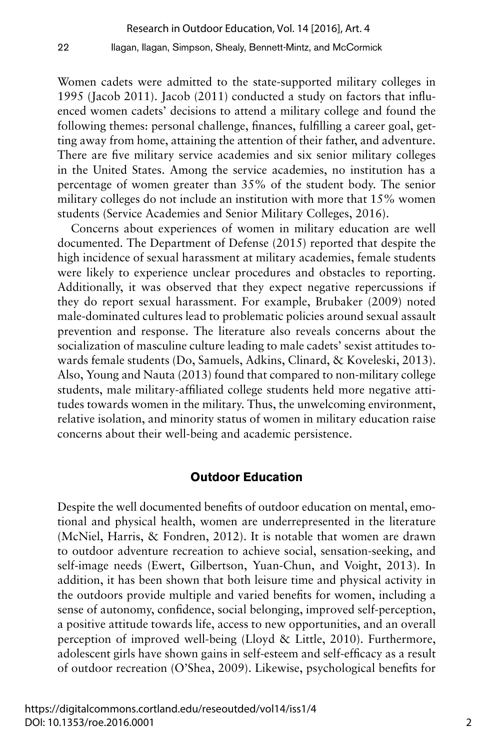Women cadets were admitted to the state-supported military colleges in 1995 (Jacob 2011). Jacob (2011) conducted a study on factors that influenced women cadets' decisions to attend a military college and found the following themes: personal challenge, finances, fulfilling a career goal, getting away from home, attaining the attention of their father, and adventure. There are five military service academies and six senior military colleges in the United States. Among the service academies, no institution has a percentage of women greater than 35% of the student body. The senior military colleges do not include an institution with more that 15% women students (Service Academies and Senior Military Colleges, 2016).

Concerns about experiences of women in military education are well documented. The Department of Defense (2015) reported that despite the high incidence of sexual harassment at military academies, female students were likely to experience unclear procedures and obstacles to reporting. Additionally, it was observed that they expect negative repercussions if they do report sexual harassment. For example, Brubaker (2009) noted male-dominated cultures lead to problematic policies around sexual assault prevention and response. The literature also reveals concerns about the socialization of masculine culture leading to male cadets' sexist attitudes towards female students (Do, Samuels, Adkins, Clinard, & Koveleski, 2013). Also, Young and Nauta (2013) found that compared to non-military college students, male military-affiliated college students held more negative attitudes towards women in the military. Thus, the unwelcoming environment, relative isolation, and minority status of women in military education raise concerns about their well-being and academic persistence.

# **Outdoor Education**

Despite the well documented benefits of outdoor education on mental, emotional and physical health, women are underrepresented in the literature (McNiel, Harris, & Fondren, 2012). It is notable that women are drawn to outdoor adventure recreation to achieve social, sensation-seeking, and self-image needs (Ewert, Gilbertson, Yuan-Chun, and Voight, 2013). In addition, it has been shown that both leisure time and physical activity in the outdoors provide multiple and varied benefits for women, including a sense of autonomy, confidence, social belonging, improved self-perception, a positive attitude towards life, access to new opportunities, and an overall perception of improved well-being (Lloyd & Little, 2010). Furthermore, adolescent girls have shown gains in self-esteem and self-efficacy as a result of outdoor recreation (O'Shea, 2009). Likewise, psychological benefits for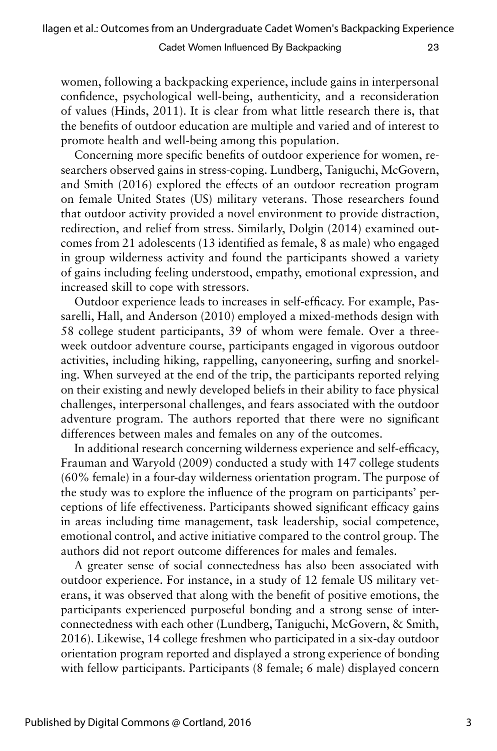women, following a backpacking experience, include gains in interpersonal confidence, psychological well-being, authenticity, and a reconsideration of values (Hinds, 2011). It is clear from what little research there is, that the benefits of outdoor education are multiple and varied and of interest to promote health and well-being among this population.

Concerning more specific benefits of outdoor experience for women, researchers observed gains in stress-coping. Lundberg, Taniguchi, McGovern, and Smith (2016) explored the effects of an outdoor recreation program on female United States (US) military veterans. Those researchers found that outdoor activity provided a novel environment to provide distraction, redirection, and relief from stress. Similarly, Dolgin (2014) examined outcomes from 21 adolescents (13 identified as female, 8 as male) who engaged in group wilderness activity and found the participants showed a variety of gains including feeling understood, empathy, emotional expression, and increased skill to cope with stressors.

Outdoor experience leads to increases in self-efficacy. For example, Passarelli, Hall, and Anderson (2010) employed a mixed-methods design with 58 college student participants, 39 of whom were female. Over a threeweek outdoor adventure course, participants engaged in vigorous outdoor activities, including hiking, rappelling, canyoneering, surfing and snorkeling. When surveyed at the end of the trip, the participants reported relying on their existing and newly developed beliefs in their ability to face physical challenges, interpersonal challenges, and fears associated with the outdoor adventure program. The authors reported that there were no significant differences between males and females on any of the outcomes.

In additional research concerning wilderness experience and self-efficacy, Frauman and Waryold (2009) conducted a study with 147 college students (60% female) in a four-day wilderness orientation program. The purpose of the study was to explore the influence of the program on participants' perceptions of life effectiveness. Participants showed significant efficacy gains in areas including time management, task leadership, social competence, emotional control, and active initiative compared to the control group. The authors did not report outcome differences for males and females.

A greater sense of social connectedness has also been associated with outdoor experience. For instance, in a study of 12 female US military veterans, it was observed that along with the benefit of positive emotions, the participants experienced purposeful bonding and a strong sense of interconnectedness with each other (Lundberg, Taniguchi, McGovern, & Smith, 2016). Likewise, 14 college freshmen who participated in a six-day outdoor orientation program reported and displayed a strong experience of bonding with fellow participants. Participants (8 female; 6 male) displayed concern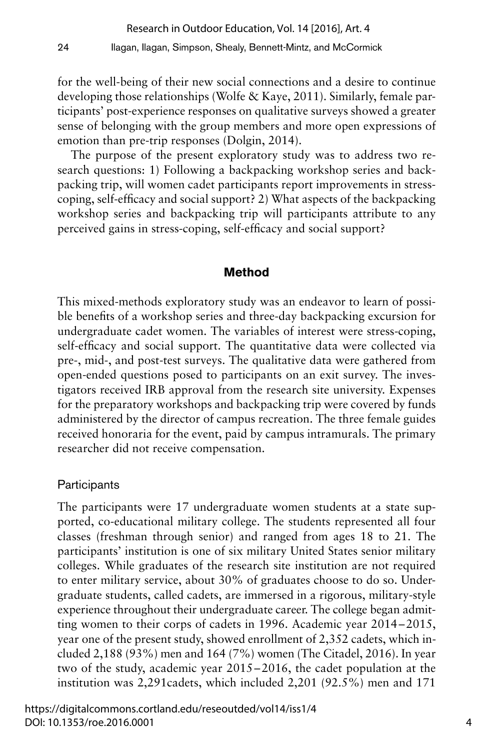for the well-being of their new social connections and a desire to continue developing those relationships (Wolfe & Kaye, 2011). Similarly, female participants' post-experience responses on qualitative surveys showed a greater sense of belonging with the group members and more open expressions of emotion than pre-trip responses (Dolgin, 2014).

The purpose of the present exploratory study was to address two research questions: 1) Following a backpacking workshop series and backpacking trip, will women cadet participants report improvements in stresscoping, self-efficacy and social support? 2) What aspects of the backpacking workshop series and backpacking trip will participants attribute to any perceived gains in stress-coping, self-efficacy and social support?

#### **Method**

This mixed-methods exploratory study was an endeavor to learn of possible benefits of a workshop series and three-day backpacking excursion for undergraduate cadet women. The variables of interest were stress-coping, self-efficacy and social support. The quantitative data were collected via pre-, mid-, and post-test surveys. The qualitative data were gathered from open-ended questions posed to participants on an exit survey. The investigators received IRB approval from the research site university. Expenses for the preparatory workshops and backpacking trip were covered by funds administered by the director of campus recreation. The three female guides received honoraria for the event, paid by campus intramurals. The primary researcher did not receive compensation.

#### **Participants**

The participants were 17 undergraduate women students at a state supported, co-educational military college. The students represented all four classes (freshman through senior) and ranged from ages 18 to 21. The participants' institution is one of six military United States senior military colleges. While graduates of the research site institution are not required to enter military service, about 30% of graduates choose to do so. Undergraduate students, called cadets, are immersed in a rigorous, military-style experience throughout their undergraduate career. The college began admitting women to their corps of cadets in 1996. Academic year 2014–2015, year one of the present study, showed enrollment of 2,352 cadets, which included 2,188 (93%) men and 164 (7%) women (The Citadel, 2016). In year two of the study, academic year 2015–2016, the cadet population at the institution was 2,291cadets, which included 2,201 (92.5%) men and 171

https://digitalcommons.cortland.edu/reseoutded/vol14/iss1/4 DOI: 10.1353/roe.2016.0001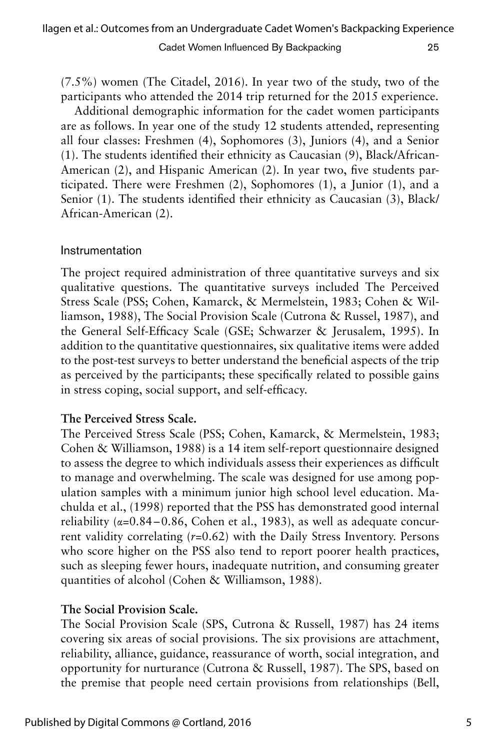(7.5%) women (The Citadel, 2016). In year two of the study, two of the participants who attended the 2014 trip returned for the 2015 experience.

Additional demographic information for the cadet women participants are as follows. In year one of the study 12 students attended, representing all four classes: Freshmen (4), Sophomores (3), Juniors (4), and a Senior (1). The students identified their ethnicity as Caucasian (9), Black/African-American (2), and Hispanic American (2). In year two, five students participated. There were Freshmen (2), Sophomores (1), a Junior (1), and a Senior (1). The students identified their ethnicity as Caucasian (3), Black/ African-American (2).

# Instrumentation

The project required administration of three quantitative surveys and six qualitative questions. The quantitative surveys included The Perceived Stress Scale (PSS; Cohen, Kamarck, & Mermelstein, 1983; Cohen & Williamson, 1988), The Social Provision Scale (Cutrona & Russel, 1987), and the General Self-Efficacy Scale (GSE; Schwarzer & Jerusalem, 1995). In addition to the quantitative questionnaires, six qualitative items were added to the post-test surveys to better understand the beneficial aspects of the trip as perceived by the participants; these specifically related to possible gains in stress coping, social support, and self-efficacy.

# **The Perceived Stress Scale.**

The Perceived Stress Scale (PSS; Cohen, Kamarck, & Mermelstein, 1983; Cohen & Williamson, 1988) is a 14 item self-report questionnaire designed to assess the degree to which individuals assess their experiences as difficult to manage and overwhelming. The scale was designed for use among population samples with a minimum junior high school level education. Machulda et al., (1998) reported that the PSS has demonstrated good internal reliability ( $\alpha$ =0.84–0.86, Cohen et al., 1983), as well as adequate concurrent validity correlating (*r*=0.62) with the Daily Stress Inventory. Persons who score higher on the PSS also tend to report poorer health practices, such as sleeping fewer hours, inadequate nutrition, and consuming greater quantities of alcohol (Cohen & Williamson, 1988).

# **The Social Provision Scale.**

The Social Provision Scale (SPS, Cutrona & Russell, 1987) has 24 items covering six areas of social provisions. The six provisions are attachment, reliability, alliance, guidance, reassurance of worth, social integration, and opportunity for nurturance (Cutrona & Russell, 1987). The SPS, based on the premise that people need certain provisions from relationships (Bell,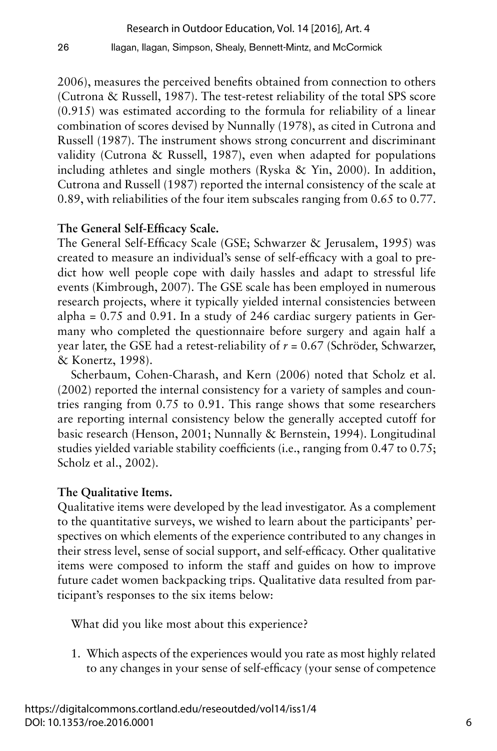2006), measures the perceived benefits obtained from connection to others (Cutrona & Russell, 1987). The test-retest reliability of the total SPS score (0.915) was estimated according to the formula for reliability of a linear combination of scores devised by Nunnally (1978), as cited in Cutrona and Russell (1987). The instrument shows strong concurrent and discriminant validity (Cutrona & Russell, 1987), even when adapted for populations including athletes and single mothers (Ryska & Yin, 2000). In addition, Cutrona and Russell (1987) reported the internal consistency of the scale at 0.89, with reliabilities of the four item subscales ranging from 0.65 to 0.77.

### **The General Self-Efficacy Scale.**

The General Self-Efficacy Scale (GSE; Schwarzer & Jerusalem, 1995) was created to measure an individual's sense of self-efficacy with a goal to predict how well people cope with daily hassles and adapt to stressful life events (Kimbrough, 2007). The GSE scale has been employed in numerous research projects, where it typically yielded internal consistencies between alpha  $= 0.75$  and 0.91. In a study of 246 cardiac surgery patients in Germany who completed the questionnaire before surgery and again half a year later, the GSE had a retest-reliability of  $r = 0.67$  (Schröder, Schwarzer, & Konertz, 1998).

Scherbaum, Cohen-Charash, and Kern (2006) noted that Scholz et al. (2002) reported the internal consistency for a variety of samples and countries ranging from 0.75 to 0.91. This range shows that some researchers are reporting internal consistency below the generally accepted cutoff for basic research (Henson, 2001; Nunnally & Bernstein, 1994). Longitudinal studies yielded variable stability coefficients (i.e., ranging from 0.47 to 0.75; Scholz et al., 2002).

#### **The Qualitative Items.**

Qualitative items were developed by the lead investigator. As a complement to the quantitative surveys, we wished to learn about the participants' perspectives on which elements of the experience contributed to any changes in their stress level, sense of social support, and self-efficacy. Other qualitative items were composed to inform the staff and guides on how to improve future cadet women backpacking trips. Qualitative data resulted from participant's responses to the six items below:

What did you like most about this experience?

1. Which aspects of the experiences would you rate as most highly related to any changes in your sense of self-efficacy (your sense of competence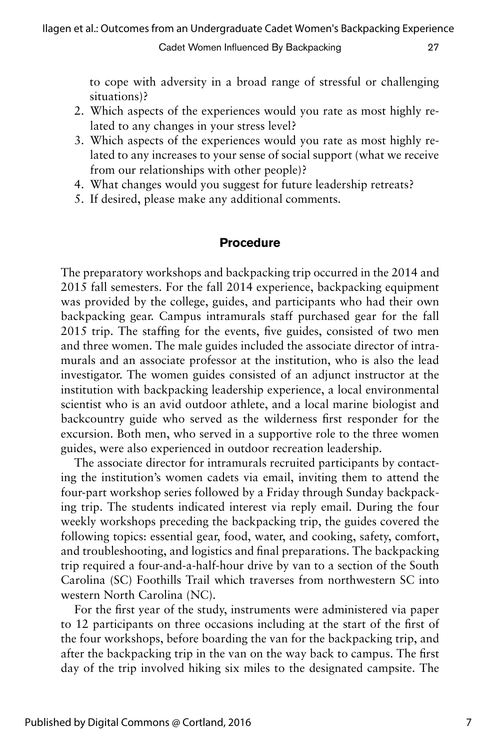to cope with adversity in a broad range of stressful or challenging situations)?

- 2. Which aspects of the experiences would you rate as most highly related to any changes in your stress level?
- 3. Which aspects of the experiences would you rate as most highly related to any increases to your sense of social support (what we receive from our relationships with other people)?
- 4. What changes would you suggest for future leadership retreats?
- 5. If desired, please make any additional comments.

#### **Procedure**

The preparatory workshops and backpacking trip occurred in the 2014 and 2015 fall semesters. For the fall 2014 experience, backpacking equipment was provided by the college, guides, and participants who had their own backpacking gear. Campus intramurals staff purchased gear for the fall 2015 trip. The staffing for the events, five guides, consisted of two men and three women. The male guides included the associate director of intramurals and an associate professor at the institution, who is also the lead investigator. The women guides consisted of an adjunct instructor at the institution with backpacking leadership experience, a local environmental scientist who is an avid outdoor athlete, and a local marine biologist and backcountry guide who served as the wilderness first responder for the excursion. Both men, who served in a supportive role to the three women guides, were also experienced in outdoor recreation leadership.

The associate director for intramurals recruited participants by contacting the institution's women cadets via email, inviting them to attend the four-part workshop series followed by a Friday through Sunday backpacking trip. The students indicated interest via reply email. During the four weekly workshops preceding the backpacking trip, the guides covered the following topics: essential gear, food, water, and cooking, safety, comfort, and troubleshooting, and logistics and final preparations. The backpacking trip required a four-and-a-half-hour drive by van to a section of the South Carolina (SC) Foothills Trail which traverses from northwestern SC into western North Carolina (NC).

For the first year of the study, instruments were administered via paper to 12 participants on three occasions including at the start of the first of the four workshops, before boarding the van for the backpacking trip, and after the backpacking trip in the van on the way back to campus. The first day of the trip involved hiking six miles to the designated campsite. The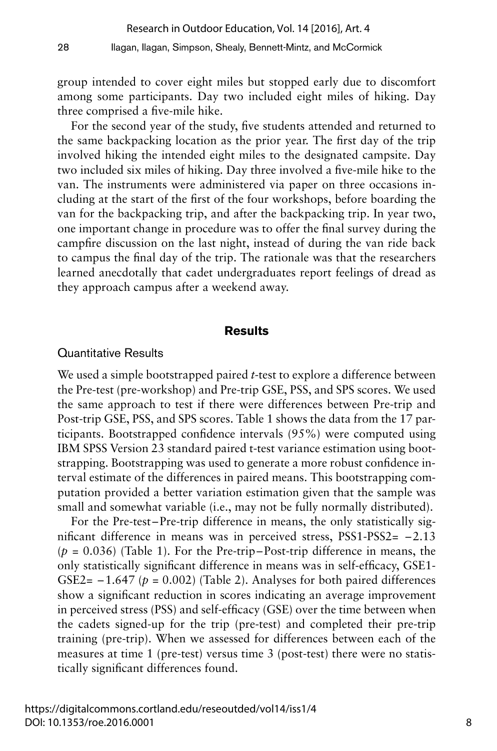group intended to cover eight miles but stopped early due to discomfort among some participants. Day two included eight miles of hiking. Day three comprised a five-mile hike.

For the second year of the study, five students attended and returned to the same backpacking location as the prior year. The first day of the trip involved hiking the intended eight miles to the designated campsite. Day two included six miles of hiking. Day three involved a five-mile hike to the van. The instruments were administered via paper on three occasions including at the start of the first of the four workshops, before boarding the van for the backpacking trip, and after the backpacking trip. In year two, one important change in procedure was to offer the final survey during the campfire discussion on the last night, instead of during the van ride back to campus the final day of the trip. The rationale was that the researchers learned anecdotally that cadet undergraduates report feelings of dread as they approach campus after a weekend away.

#### **Results**

#### Quantitative Results

We used a simple bootstrapped paired *t*-test to explore a difference between the Pre-test (pre-workshop) and Pre-trip GSE, PSS, and SPS scores. We used the same approach to test if there were differences between Pre-trip and Post-trip GSE, PSS, and SPS scores. Table 1 shows the data from the 17 participants. Bootstrapped confidence intervals (95%) were computed using IBM SPSS Version 23 standard paired t-test variance estimation using bootstrapping. Bootstrapping was used to generate a more robust confidence interval estimate of the differences in paired means. This bootstrapping computation provided a better variation estimation given that the sample was small and somewhat variable (i.e., may not be fully normally distributed).

For the Pre-test-Pre-trip difference in means, the only statistically significant difference in means was in perceived stress, PSS1-PSS2= –2.13  $(p = 0.036)$  (Table 1). For the Pre-trip–Post-trip difference in means, the only statistically significant difference in means was in self-efficacy, GSE1- GSE2=  $-1.647$  ( $p = 0.002$ ) (Table 2). Analyses for both paired differences show a significant reduction in scores indicating an average improvement in perceived stress (PSS) and self-efficacy (GSE) over the time between when the cadets signed-up for the trip (pre-test) and completed their pre-trip training (pre-trip). When we assessed for differences between each of the measures at time 1 (pre-test) versus time 3 (post-test) there were no statistically significant differences found.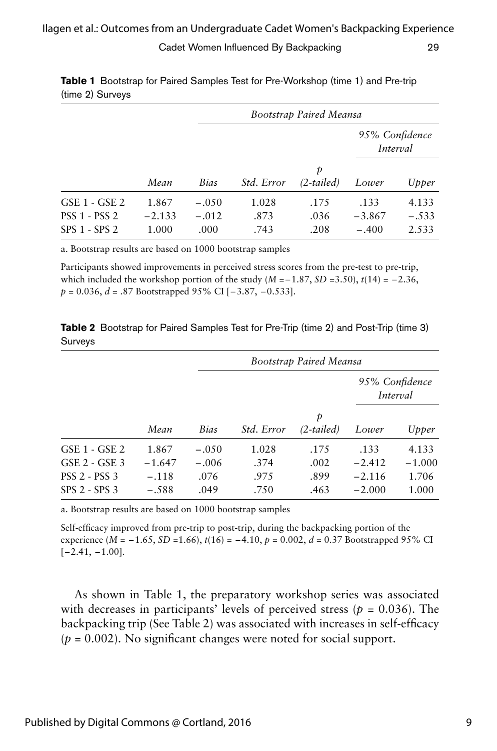|                      |          | Bootstrap Paired Meansa |                   |                   |                            |         |
|----------------------|----------|-------------------------|-------------------|-------------------|----------------------------|---------|
|                      |          |                         |                   |                   | 95% Confidence<br>Interval |         |
|                      | Mean     | Bias                    | <i>Std.</i> Error | Þ<br>$(2-tailed)$ | Lower                      | Upper   |
| $GSE$ 1 - $GSE$ 2    | 1.867    | $-.050$                 | 1.028             | .175              | .133                       | 4.133   |
| <b>PSS 1 - PSS 2</b> | $-2.133$ | $-.012$                 | .873              | .036              | $-3.867$                   | $-.533$ |
| $SPS$ 1 - $SPS$ 2    | 1.000    | .000                    | .743              | .208              | $-.400$                    | 2.533   |

**Table 1** Bootstrap for Paired Samples Test for Pre-Workshop (time 1) and Pre-trip (time 2) Surveys

a. Bootstrap results are based on 1000 bootstrap samples

Participants showed improvements in perceived stress scores from the pre-test to pre-trip, which included the workshop portion of the study  $(M = -1.87, SD = 3.50)$ ,  $t(14) = -2.36$ , *p* = 0.036, *d* = .87 Bootstrapped 95% CI [ –3.87, –0.533].

**Table 2** Bootstrap for Paired Samples Test for Pre-Trip (time 2) and Post-Trip (time 3) Surveys

|                      |          | <b>Bootstrap Paired Meansa</b> |            |                   |                            |          |
|----------------------|----------|--------------------------------|------------|-------------------|----------------------------|----------|
|                      |          |                                |            |                   | 95% Confidence<br>Interval |          |
|                      | Mean     | Bias                           | Std. Error | Þ<br>$(2-tailed)$ | Lower                      | Upper    |
| $GSE$ 1 - $GSE$ 2    | 1.867    | $-.050$                        | 1.028      | .175              | .133                       | 4.133    |
| $GSE$ 2 - $GSE$ 3    | $-1.647$ | $-.006$                        | .374       | .002              | $-2.412$                   | $-1.000$ |
| <b>PSS 2 - PSS 3</b> | $-.118$  | .076                           | .975       | .899              | $-2.116$                   | 1.706    |
| $SPS$ 2 - $SPS$ 3    | $-.588$  | .049                           | .750       | .463              | $-2.000$                   | 1.000    |

a. Bootstrap results are based on 1000 bootstrap samples

Self-efficacy improved from pre-trip to post-trip, during the backpacking portion of the experience ( $M = -1.65$ ,  $SD = 1.66$ ),  $t(16) = -4.10$ ,  $p = 0.002$ ,  $d = 0.37$  Bootstrapped 95% CI  $[-2.41, -1.00]$ .

As shown in Table 1, the preparatory workshop series was associated with decreases in participants' levels of perceived stress (*p* = 0.036). The backpacking trip (See Table 2) was associated with increases in self-efficacy  $(p = 0.002)$ . No significant changes were noted for social support.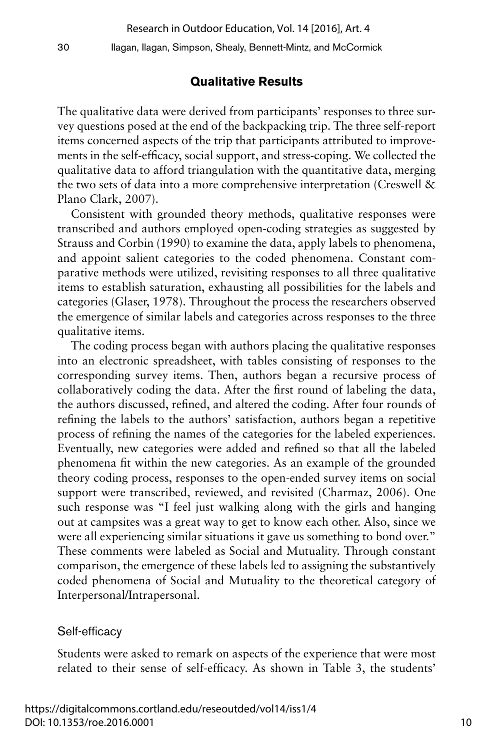#### **Qualitative Results**

The qualitative data were derived from participants' responses to three survey questions posed at the end of the backpacking trip. The three self-report items concerned aspects of the trip that participants attributed to improvements in the self-efficacy, social support, and stress-coping. We collected the qualitative data to afford triangulation with the quantitative data, merging the two sets of data into a more comprehensive interpretation (Creswell & Plano Clark, 2007).

Consistent with grounded theory methods, qualitative responses were transcribed and authors employed open-coding strategies as suggested by Strauss and Corbin (1990) to examine the data, apply labels to phenomena, and appoint salient categories to the coded phenomena. Constant comparative methods were utilized, revisiting responses to all three qualitative items to establish saturation, exhausting all possibilities for the labels and categories (Glaser, 1978). Throughout the process the researchers observed the emergence of similar labels and categories across responses to the three qualitative items.

The coding process began with authors placing the qualitative responses into an electronic spreadsheet, with tables consisting of responses to the corresponding survey items. Then, authors began a recursive process of collaboratively coding the data. After the first round of labeling the data, the authors discussed, refined, and altered the coding. After four rounds of refining the labels to the authors' satisfaction, authors began a repetitive process of refining the names of the categories for the labeled experiences. Eventually, new categories were added and refined so that all the labeled phenomena fit within the new categories. As an example of the grounded theory coding process, responses to the open-ended survey items on social support were transcribed, reviewed, and revisited (Charmaz, 2006). One such response was "I feel just walking along with the girls and hanging out at campsites was a great way to get to know each other. Also, since we were all experiencing similar situations it gave us something to bond over." These comments were labeled as Social and Mutuality. Through constant comparison, the emergence of these labels led to assigning the substantively coded phenomena of Social and Mutuality to the theoretical category of Interpersonal/Intrapersonal.

#### Self-efficacy

Students were asked to remark on aspects of the experience that were most related to their sense of self-efficacy. As shown in Table 3, the students'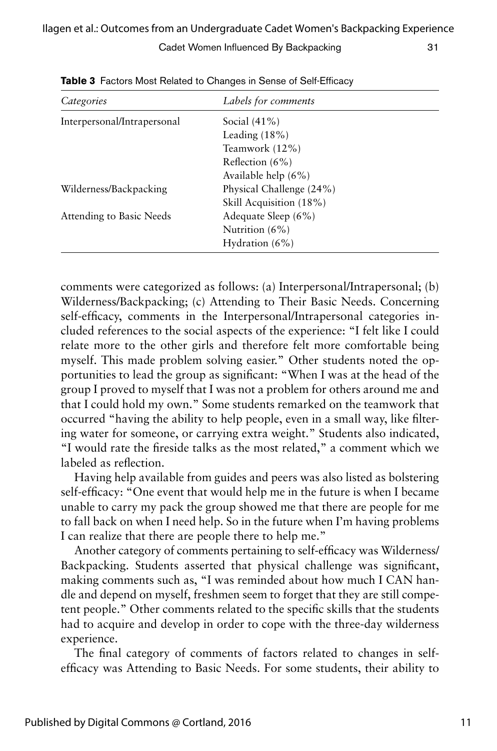| Categories                      | Labels for comments      |
|---------------------------------|--------------------------|
| Interpersonal/Intrapersonal     | Social $(41\%)$          |
|                                 | Leading $(18\%)$         |
|                                 | Teamwork $(12\%)$        |
|                                 | Reflection $(6\%)$       |
|                                 | Available help $(6\%)$   |
| Wilderness/Backpacking          | Physical Challenge (24%) |
|                                 | Skill Acquisition (18%)  |
| <b>Attending to Basic Needs</b> | Adequate Sleep (6%)      |
|                                 | Nutrition $(6\%)$        |
|                                 | Hydration $(6\%)$        |
|                                 |                          |

**Table 3** Factors Most Related to Changes in Sense of Self-Efficacy

comments were categorized as follows: (a) Interpersonal/Intrapersonal; (b) Wilderness/Backpacking; (c) Attending to Their Basic Needs. Concerning self-efficacy, comments in the Interpersonal/Intrapersonal categories included references to the social aspects of the experience: "I felt like I could relate more to the other girls and therefore felt more comfortable being myself. This made problem solving easier." Other students noted the opportunities to lead the group as significant: "When I was at the head of the group I proved to myself that I was not a problem for others around me and that I could hold my own." Some students remarked on the teamwork that occurred "having the ability to help people, even in a small way, like filtering water for someone, or carrying extra weight." Students also indicated, "I would rate the fireside talks as the most related," a comment which we labeled as reflection.

Having help available from guides and peers was also listed as bolstering self-efficacy: "One event that would help me in the future is when I became unable to carry my pack the group showed me that there are people for me to fall back on when I need help. So in the future when I'm having problems I can realize that there are people there to help me."

Another category of comments pertaining to self-efficacy was Wilderness/ Backpacking. Students asserted that physical challenge was significant, making comments such as, "I was reminded about how much I CAN handle and depend on myself, freshmen seem to forget that they are still competent people." Other comments related to the specific skills that the students had to acquire and develop in order to cope with the three-day wilderness experience.

The final category of comments of factors related to changes in selfefficacy was Attending to Basic Needs. For some students, their ability to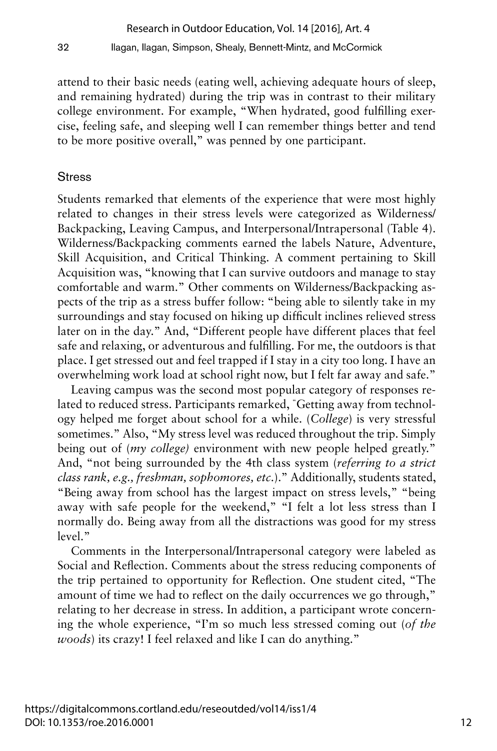attend to their basic needs (eating well, achieving adequate hours of sleep, and remaining hydrated) during the trip was in contrast to their military college environment. For example, "When hydrated, good fulfilling exercise, feeling safe, and sleeping well I can remember things better and tend to be more positive overall," was penned by one participant.

#### **Stress**

Students remarked that elements of the experience that were most highly related to changes in their stress levels were categorized as Wilderness/ Backpacking, Leaving Campus, and Interpersonal/Intrapersonal (Table 4). Wilderness/Backpacking comments earned the labels Nature, Adventure, Skill Acquisition, and Critical Thinking. A comment pertaining to Skill Acquisition was, "knowing that I can survive outdoors and manage to stay comfortable and warm." Other comments on Wilderness/Backpacking aspects of the trip as a stress buffer follow: "being able to silently take in my surroundings and stay focused on hiking up difficult inclines relieved stress later on in the day." And, "Different people have different places that feel safe and relaxing, or adventurous and fulfilling. For me, the outdoors is that place. I get stressed out and feel trapped if I stay in a city too long. I have an overwhelming work load at school right now, but I felt far away and safe."

Leaving campus was the second most popular category of responses related to reduced stress. Participants remarked, " Getting away from technology helped me forget about school for a while. (*College*) is very stressful sometimes." Also, "My stress level was reduced throughout the trip. Simply being out of (*my college)* environment with new people helped greatly." And, "not being surrounded by the 4th class system (*referring to a strict class rank, e.g., freshman, sophomores, etc*.)." Additionally, students stated, "Being away from school has the largest impact on stress levels," "being away with safe people for the weekend," "I felt a lot less stress than I normally do. Being away from all the distractions was good for my stress level."

Comments in the Interpersonal/Intrapersonal category were labeled as Social and Reflection. Comments about the stress reducing components of the trip pertained to opportunity for Reflection. One student cited, "The amount of time we had to reflect on the daily occurrences we go through," relating to her decrease in stress. In addition, a participant wrote concerning the whole experience, "I'm so much less stressed coming out (*of the woods*) its crazy! I feel relaxed and like I can do anything."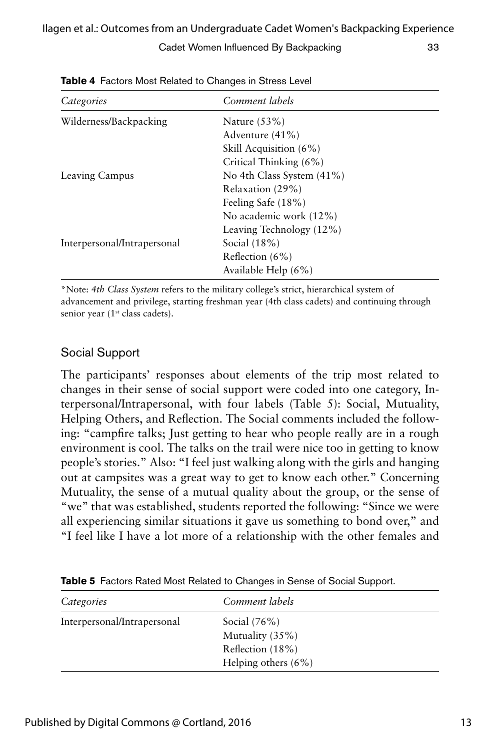| Categories                  | Comment labels            |  |
|-----------------------------|---------------------------|--|
| Wilderness/Backpacking      | Nature $(53%)$            |  |
|                             | Adventure $(41\%)$        |  |
|                             | Skill Acquisition (6%)    |  |
|                             | Critical Thinking (6%)    |  |
| Leaving Campus              | No 4th Class System (41%) |  |
|                             | Relaxation (29%)          |  |
|                             | Feeling Safe (18%)        |  |
|                             | No academic work (12%)    |  |
|                             | Leaving Technology (12%)  |  |
| Interpersonal/Intrapersonal | Social $(18\%)$           |  |
|                             | Reflection $(6\%)$        |  |
|                             | Available Help (6%)       |  |
|                             |                           |  |

**Table 4** Factors Most Related to Changes in Stress Level

\*Note: *4th Class System* refers to the military college's strict, hierarchical system of advancement and privilege, starting freshman year (4th class cadets) and continuing through senior year (1<sup>st</sup> class cadets).

### Social Support

The participants' responses about elements of the trip most related to changes in their sense of social support were coded into one category, Interpersonal/Intrapersonal, with four labels (Table 5): Social, Mutuality, Helping Others, and Reflection. The Social comments included the following: "campfire talks; Just getting to hear who people really are in a rough environment is cool. The talks on the trail were nice too in getting to know people's stories." Also: "I feel just walking along with the girls and hanging out at campsites was a great way to get to know each other." Concerning Mutuality, the sense of a mutual quality about the group, or the sense of "we" that was established, students reported the following: "Since we were all experiencing similar situations it gave us something to bond over," and "I feel like I have a lot more of a relationship with the other females and

| Categories                  | Comment labels                                                                     |
|-----------------------------|------------------------------------------------------------------------------------|
| Interpersonal/Intrapersonal | Social $(76\%)$<br>Mutuality $(35%)$<br>Reflection (18%)<br>Helping others $(6\%)$ |

**Table 5** Factors Rated Most Related to Changes in Sense of Social Support.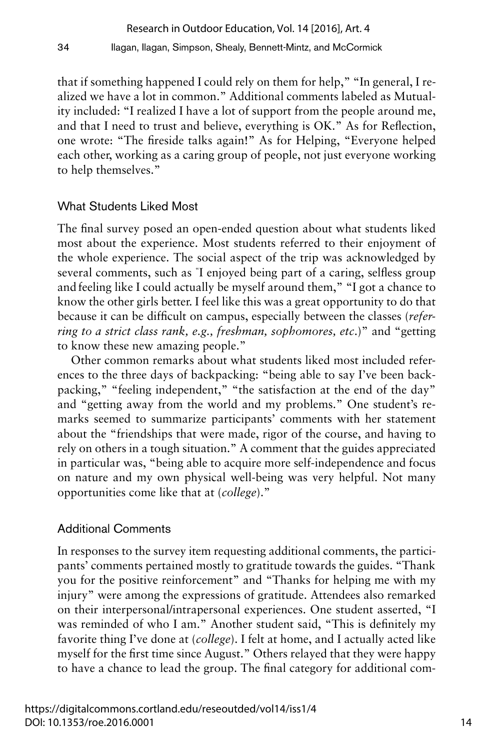that if something happened I could rely on them for help," "In general, I realized we have a lot in common." Additional comments labeled as Mutuality included: "I realized I have a lot of support from the people around me, and that I need to trust and believe, everything is OK." As for Reflection, one wrote: "The fireside talks again!" As for Helping, "Everyone helped each other, working as a caring group of people, not just everyone working to help themselves."

# What Students Liked Most

The final survey posed an open-ended question about what students liked most about the experience. Most students referred to their enjoyment of the whole experience. The social aspect of the trip was acknowledged by several comments, such as " I enjoyed being part of a caring, selfless group and feeling like I could actually be myself around them," "I got a chance to know the other girls better. I feel like this was a great opportunity to do that because it can be difficult on campus, especially between the classes (*referring to a strict class rank, e.g., freshman, sophomores, etc*.)" and "getting to know these new amazing people."

Other common remarks about what students liked most included references to the three days of backpacking: "being able to say I've been backpacking," "feeling independent," "the satisfaction at the end of the day" and "getting away from the world and my problems." One student's remarks seemed to summarize participants' comments with her statement about the "friendships that were made, rigor of the course, and having to rely on others in a tough situation." A comment that the guides appreciated in particular was, "being able to acquire more self-independence and focus on nature and my own physical well-being was very helpful. Not many opportunities come like that at (*college*)."

# Additional Comments

In responses to the survey item requesting additional comments, the participants' comments pertained mostly to gratitude towards the guides. "Thank you for the positive reinforcement" and "Thanks for helping me with my injury" were among the expressions of gratitude. Attendees also remarked on their interpersonal/intrapersonal experiences. One student asserted, "I was reminded of who I am." Another student said, "This is definitely my favorite thing I've done at (*college*). I felt at home, and I actually acted like myself for the first time since August." Others relayed that they were happy to have a chance to lead the group. The final category for additional com-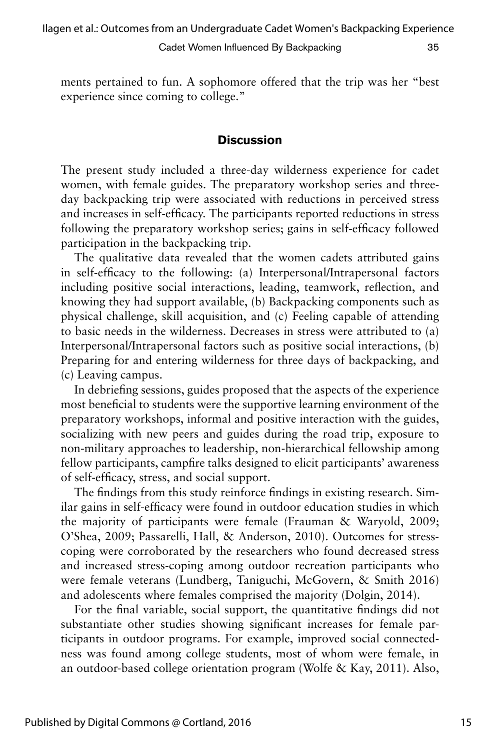ments pertained to fun. A sophomore offered that the trip was her "best experience since coming to college."

#### **Discussion**

The present study included a three-day wilderness experience for cadet women, with female guides. The preparatory workshop series and threeday backpacking trip were associated with reductions in perceived stress and increases in self-efficacy. The participants reported reductions in stress following the preparatory workshop series; gains in self-efficacy followed participation in the backpacking trip.

The qualitative data revealed that the women cadets attributed gains in self-efficacy to the following: (a) Interpersonal/Intrapersonal factors including positive social interactions, leading, teamwork, reflection, and knowing they had support available, (b) Backpacking components such as physical challenge, skill acquisition, and (c) Feeling capable of attending to basic needs in the wilderness. Decreases in stress were attributed to (a) Interpersonal/Intrapersonal factors such as positive social interactions, (b) Preparing for and entering wilderness for three days of backpacking, and (c) Leaving campus.

In debriefing sessions, guides proposed that the aspects of the experience most beneficial to students were the supportive learning environment of the preparatory workshops, informal and positive interaction with the guides, socializing with new peers and guides during the road trip, exposure to non-military approaches to leadership, non-hierarchical fellowship among fellow participants, campfire talks designed to elicit participants' awareness of self-efficacy, stress, and social support.

The findings from this study reinforce findings in existing research. Similar gains in self-efficacy were found in outdoor education studies in which the majority of participants were female (Frauman & Waryold, 2009; O'Shea, 2009; Passarelli, Hall, & Anderson, 2010). Outcomes for stresscoping were corroborated by the researchers who found decreased stress and increased stress-coping among outdoor recreation participants who were female veterans (Lundberg, Taniguchi, McGovern, & Smith 2016) and adolescents where females comprised the majority (Dolgin, 2014).

For the final variable, social support, the quantitative findings did not substantiate other studies showing significant increases for female participants in outdoor programs. For example, improved social connectedness was found among college students, most of whom were female, in an outdoor-based college orientation program (Wolfe & Kay, 2011). Also,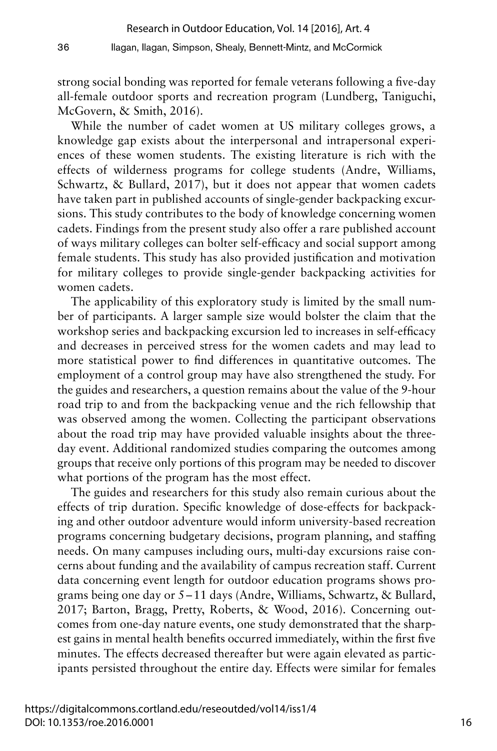strong social bonding was reported for female veterans following a five-day all-female outdoor sports and recreation program (Lundberg, Taniguchi, McGovern, & Smith, 2016).

While the number of cadet women at US military colleges grows, a knowledge gap exists about the interpersonal and intrapersonal experiences of these women students. The existing literature is rich with the effects of wilderness programs for college students (Andre, Williams, Schwartz, & Bullard, 2017), but it does not appear that women cadets have taken part in published accounts of single-gender backpacking excursions. This study contributes to the body of knowledge concerning women cadets. Findings from the present study also offer a rare published account of ways military colleges can bolter self-efficacy and social support among female students. This study has also provided justification and motivation for military colleges to provide single-gender backpacking activities for women cadets.

The applicability of this exploratory study is limited by the small number of participants. A larger sample size would bolster the claim that the workshop series and backpacking excursion led to increases in self-efficacy and decreases in perceived stress for the women cadets and may lead to more statistical power to find differences in quantitative outcomes. The employment of a control group may have also strengthened the study. For the guides and researchers, a question remains about the value of the 9-hour road trip to and from the backpacking venue and the rich fellowship that was observed among the women. Collecting the participant observations about the road trip may have provided valuable insights about the threeday event. Additional randomized studies comparing the outcomes among groups that receive only portions of this program may be needed to discover what portions of the program has the most effect.

The guides and researchers for this study also remain curious about the effects of trip duration. Specific knowledge of dose-effects for backpacking and other outdoor adventure would inform university-based recreation programs concerning budgetary decisions, program planning, and staffing needs. On many campuses including ours, multi-day excursions raise concerns about funding and the availability of campus recreation staff. Current data concerning event length for outdoor education programs shows programs being one day or 5–11 days (Andre, Williams, Schwartz, & Bullard, 2017; Barton, Bragg, Pretty, Roberts, & Wood, 2016). Concerning outcomes from one-day nature events, one study demonstrated that the sharpest gains in mental health benefits occurred immediately, within the first five minutes. The effects decreased thereafter but were again elevated as participants persisted throughout the entire day. Effects were similar for females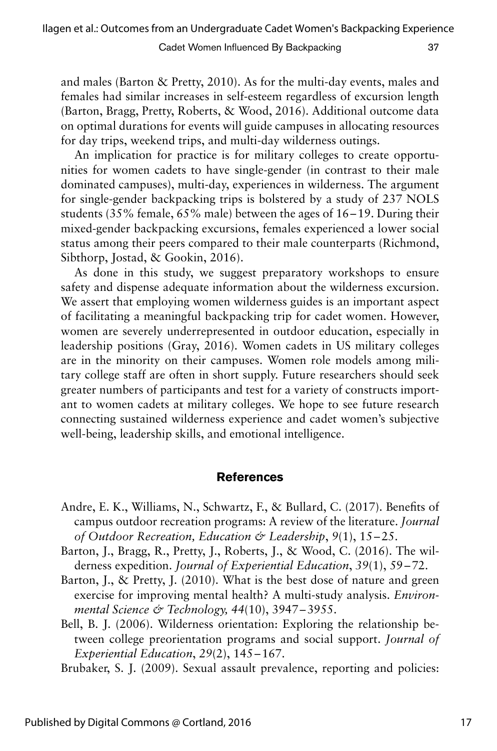and males (Barton & Pretty, 2010). As for the multi-day events, males and females had similar increases in self-esteem regardless of excursion length (Barton, Bragg, Pretty, Roberts, & Wood, 2016). Additional outcome data on optimal durations for events will guide campuses in allocating resources for day trips, weekend trips, and multi-day wilderness outings.

An implication for practice is for military colleges to create opportunities for women cadets to have single-gender (in contrast to their male dominated campuses), multi-day, experiences in wilderness. The argument for single-gender backpacking trips is bolstered by a study of 237 NOLS students (35% female, 65% male) between the ages of 16–19. During their mixed-gender backpacking excursions, females experienced a lower social status among their peers compared to their male counterparts (Richmond, Sibthorp, Jostad, & Gookin, 2016).

As done in this study, we suggest preparatory workshops to ensure safety and dispense adequate information about the wilderness excursion. We assert that employing women wilderness guides is an important aspect of facilitating a meaningful backpacking trip for cadet women. However, women are severely underrepresented in outdoor education, especially in leadership positions (Gray, 2016). Women cadets in US military colleges are in the minority on their campuses. Women role models among military college staff are often in short supply. Future researchers should seek greater numbers of participants and test for a variety of constructs important to women cadets at military colleges. We hope to see future research connecting sustained wilderness experience and cadet women's subjective well-being, leadership skills, and emotional intelligence.

# **References**

Andre, E. K., Williams, N., Schwartz, F., & Bullard, C. (2017). Benefits of campus outdoor recreation programs: A review of the literature. *Journal of Outdoor Recreation, Education & Leadership*, *9*(1), 15–25.

Barton, J., Bragg, R., Pretty, J., Roberts, J., & Wood, C. (2016). The wilderness expedition. *Journal of Experiential Education*, *39*(1), 59–72.

Barton, J., & Pretty, J. (2010). What is the best dose of nature and green exercise for improving mental health? A multi-study analysis. *Environmental Science & Technology, 44*(10), 3947–3955.

Bell, B. J. (2006). Wilderness orientation: Exploring the relationship between college preorientation programs and social support. *Journal of Experiential Education*, *29*(2), 145–167.

Brubaker, S. J. (2009). Sexual assault prevalence, reporting and policies: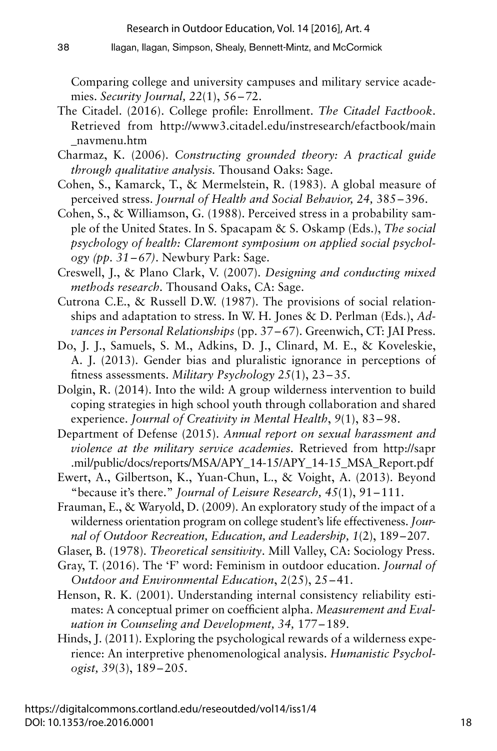Comparing college and university campuses and military service academies. *Security Journal, 22*(1), 56–72.

The Citadel. (2016). College profile: Enrollment. *The Citadel Factbook*. Retrieved from http://www3.citadel.edu/instresearch/efactbook/main \_navmenu.htm

Charmaz, K. (2006). *Constructing grounded theory: A practical guide through qualitative analysis.* Thousand Oaks: Sage.

- Cohen, S., Kamarck, T., & Mermelstein, R. (1983). A global measure of perceived stress. *Journal of Health and Social Behavior, 24,* 385–396.
- Cohen, S., & Williamson, G. (1988). Perceived stress in a probability sample of the United States. In S. Spacapam & S. Oskamp (Eds.), *The social psychology of health: Claremont symposium on applied social psychology (pp. 31–67)*. Newbury Park: Sage.
- Creswell, J., & Plano Clark, V. (2007). *Designing and conducting mixed methods research.* Thousand Oaks, CA: Sage.
- Cutrona C.E., & Russell D.W. (1987). The provisions of social relationships and adaptation to stress. In W. H. Jones & D. Perlman (Eds.), *Advances in Personal Relationships* (pp. 37–67). Greenwich, CT: JAI Press.
- Do, J. J., Samuels, S. M., Adkins, D. J., Clinard, M. E., & Koveleskie, A. J. (2013). Gender bias and pluralistic ignorance in perceptions of fitness assessments. *Military Psychology 25*(1), 23–35.
- Dolgin, R. (2014). Into the wild: A group wilderness intervention to build coping strategies in high school youth through collaboration and shared experience. *Journal of Creativity in Mental Health*, *9*(1), 83–98.

Department of Defense (2015). *Annual report on sexual harassment and violence at the military service academies.* Retrieved from http://sapr .mil/public/docs/reports/MSA/APY\_14-15/APY\_14-15\_MSA\_Report.pdf

Ewert, A., Gilbertson, K., Yuan-Chun, L., & Voight, A. (2013). Beyond "because it's there." *Journal of Leisure Research, 45*(1), 91–111.

Frauman, E., & Waryold, D. (2009). An exploratory study of the impact of a wilderness orientation program on college student's life effectiveness. *Journal of Outdoor Recreation, Education, and Leadership, 1*(2), 189–207.

- Glaser, B. (1978)*. Theoretical sensitivity*. Mill Valley, CA: Sociology Press.
- Gray, T. (2016). The 'F' word: Feminism in outdoor education. *Journal of Outdoor and Environmental Education*, *2*(25), 25–41.
- Henson, R. K. (2001). Understanding internal consistency reliability estimates: A conceptual primer on coefficient alpha. *Measurement and Evaluation in Counseling and Development, 34,* 177–189.
- Hinds, J. (2011). Exploring the psychological rewards of a wilderness experience: An interpretive phenomenological analysis. *Humanistic Psychologist, 39*(3), 189–205.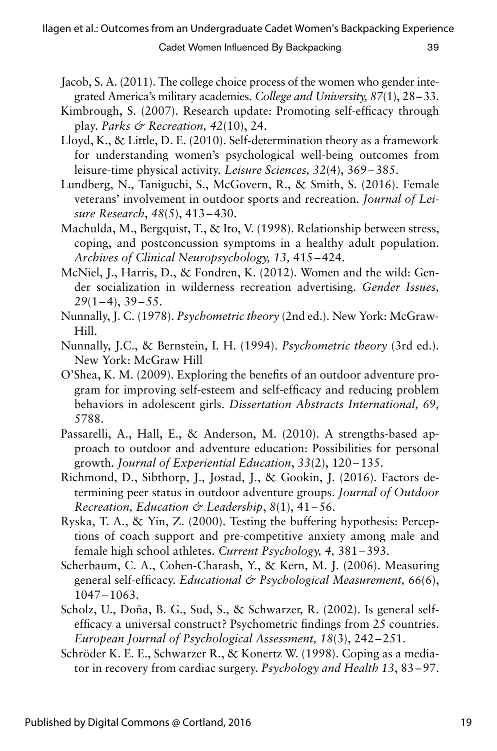- Jacob, S. A. (2011). The college choice process of the women who gender integrated America's military academies. *College and University, 87*(1), 28–33.
- Kimbrough, S. (2007). Research update: Promoting self-efficacy through play. *Parks & Recreation, 42*(10), 24.
- Lloyd, K., & Little, D. E. (2010). Self-determination theory as a framework for understanding women's psychological well-being outcomes from leisure-time physical activity. *Leisure Sciences, 32*(4), 369–385.
- Lundberg, N., Taniguchi, S., McGovern, R., & Smith, S. (2016). Female veterans' involvement in outdoor sports and recreation. *Journal of Leisure Research*, *48*(5), 413–430.
- Machulda, M., Bergquist, T., & Ito, V. (1998). Relationship between stress, coping, and postconcussion symptoms in a healthy adult population. *Archives of Clinical Neuropsychology, 13,* 415–424.
- McNiel, J., Harris, D., & Fondren, K. (2012). Women and the wild: Gender socialization in wilderness recreation advertising. *Gender Issues, 29*(1–4), 39–55.
- Nunnally, J. C. (1978). *Psychometric theory* (2nd ed.). New York: McGraw-Hill.
- Nunnally, J.C., & Bernstein, I. H. (1994). *Psychometric theory* (3rd ed.). New York: McGraw Hill
- O'Shea, K. M. (2009). Exploring the benefits of an outdoor adventure program for improving self-esteem and self-efficacy and reducing problem behaviors in adolescent girls. *Dissertation Abstracts International, 69,*  5788.
- Passarelli, A., Hall, E., & Anderson, M. (2010). A strengths-based approach to outdoor and adventure education: Possibilities for personal growth. *Journal of Experiential Education*, *33*(2), 120–135.
- Richmond, D., Sibthorp, J., Jostad, J., & Gookin, J. (2016). Factors determining peer status in outdoor adventure groups. *Journal of Outdoor Recreation, Education & Leadership*, *8*(1), 41–56.
- Ryska, T. A., & Yin, Z. (2000). Testing the buffering hypothesis: Perceptions of coach support and pre-competitive anxiety among male and female high school athletes. *Current Psychology, 4,* 381–393.
- Scherbaum, C. A., Cohen-Charash, Y., & Kern, M. J. (2006). Measuring general self-efficacy. *Educational & Psychological Measurement, 66*(6), 1047–1063.
- Scholz, U., Doña, B. G., Sud, S., & Schwarzer, R. (2002). Is general selfefficacy a universal construct? Psychometric findings from 25 countries. *European Journal of Psychological Assessment, 18*(3), 242–251.
- Schröder K. E. E., Schwarzer R., & Konertz W. (1998). Coping as a mediator in recovery from cardiac surgery. *Psychology and Health 13*, 83–97.